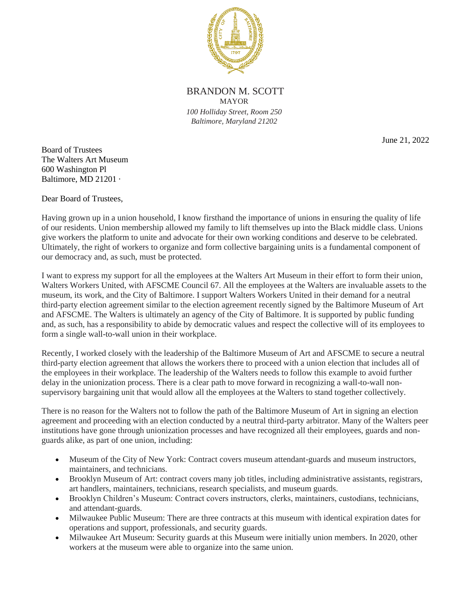

BRANDON M. SCOTT MAYOR *100 Holliday Street, Room 250 Baltimore, Maryland 21202*

June 21, 2022

Board of Trustees The Walters Art Museum 600 Washington Pl Baltimore, MD 21201 ·

Dear Board of Trustees,

Having grown up in a union household, I know firsthand the importance of unions in ensuring the quality of life of our residents. Union membership allowed my family to lift themselves up into the Black middle class. Unions give workers the platform to unite and advocate for their own working conditions and deserve to be celebrated. Ultimately, the right of workers to organize and form collective bargaining units is a fundamental component of our democracy and, as such, must be protected.

I want to express my support for all the employees at the Walters Art Museum in their effort to form their union, Walters Workers United, with AFSCME Council 67. All the employees at the Walters are invaluable assets to the museum, its work, and the City of Baltimore. I support Walters Workers United in their demand for a neutral third-party election agreement similar to the election agreement recently signed by the Baltimore Museum of Art and AFSCME. The Walters is ultimately an agency of the City of Baltimore. It is supported by public funding and, as such, has a responsibility to abide by democratic values and respect the collective will of its employees to form a single wall-to-wall union in their workplace.

Recently, I worked closely with the leadership of the Baltimore Museum of Art and AFSCME to secure a neutral third-party election agreement that allows the workers there to proceed with a union election that includes all of the employees in their workplace. The leadership of the Walters needs to follow this example to avoid further delay in the unionization process. There is a clear path to move forward in recognizing a wall-to-wall nonsupervisory bargaining unit that would allow all the employees at the Walters to stand together collectively.

There is no reason for the Walters not to follow the path of the Baltimore Museum of Art in signing an election agreement and proceeding with an election conducted by a neutral third-party arbitrator. Many of the Walters peer institutions have gone through unionization processes and have recognized all their employees, guards and nonguards alike, as part of one union, including:

- Museum of the City of New York: Contract covers museum attendant-guards and museum instructors, maintainers, and technicians.
- Brooklyn Museum of Art: contract covers many job titles, including administrative assistants, registrars, art handlers, maintainers, technicians, research specialists, and museum guards.
- Brooklyn Children's Museum: Contract covers instructors, clerks, maintainers, custodians, technicians, and attendant-guards.
- Milwaukee Public Museum: There are three contracts at this museum with identical expiration dates for operations and support, professionals, and security guards.
- Milwaukee Art Museum: Security guards at this Museum were initially union members. In 2020, other workers at the museum were able to organize into the same union.